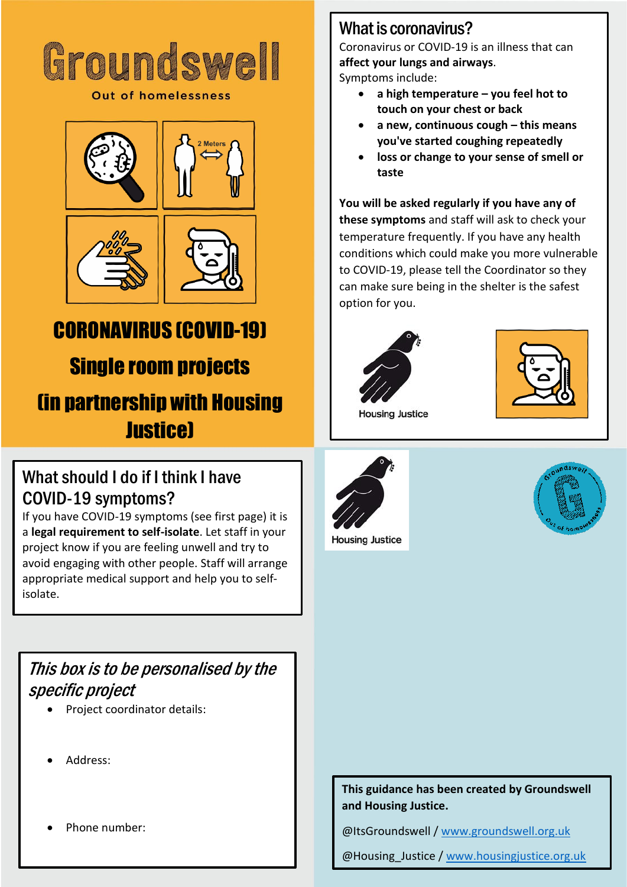# Groundswell

**Out of homelessness** 







## CORONAVIRUS (COVID-19) Single room projects (in partnership with Housing **Justice**)

#### What should I do if I think I have COVID-19 symptoms?

If you have COVID-19 symptoms (see first page) it is a **legal requirement to self-isolate**. Let staff in your project know if you are feeling unwell and try to avoid engaging with other people. Staff will arrange appropriate medical support and help you to selfisolate.

#### This box is to be personalised by the specific project

- Project coordinator details:
- Address:
- Phone number:

#### What is coronavirus?

Coronavirus or COVID-19 is an illness that can **affect your lungs and airways**.

Symptoms include:

- **a high temperature – you feel hot to touch on your chest or back**
- **a new, continuous cough – this means you've started coughing repeatedly**
- **loss or change to your sense of smell or taste**

**You will be asked regularly if you have any of these symptoms** and staff will ask to check your temperature frequently. If you have any health conditions which could make you more vulnerable to COVID-19, please tell the Coordinator so they can make sure being in the shelter is the safest option for you.





**Housing Justice** 



**Housing Justice** 



#### **This guidance has been created by Groundswell and Housing Justice.**

@ItsGroundswell / [www.groundswell.org.uk](http://www.groundswell.org.uk/)

@Housing\_Justice [/ www.housingjustice.org.uk](http://www.housingjustice.org.uk/)